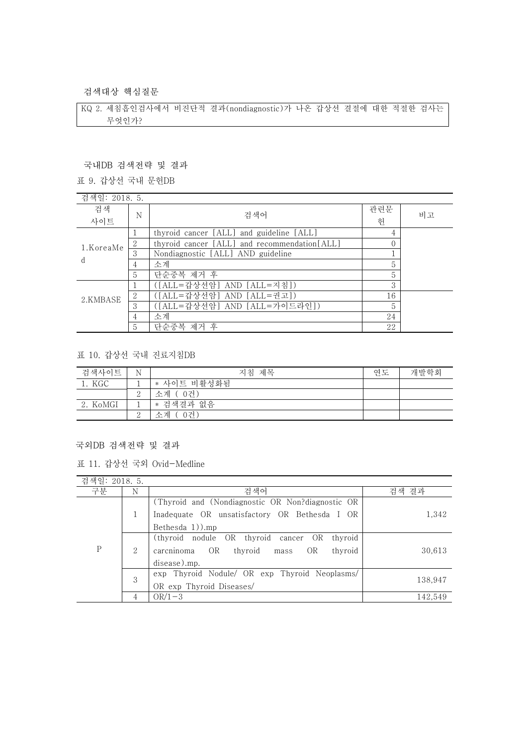검색대상 핵심질문

KQ 2. 세침흡인검사에서 비진단적 결과(nondiagnostic)가 나온 갑상선 결절에 대한 적절한 검사는 무엇인가?

### 국내DB 검색전략 및 결과

### 표 9. 갑상선 국내 문헌DB

| 검색일: 2018. 5.             |                |                                              |     |    |
|---------------------------|----------------|----------------------------------------------|-----|----|
| 검색                        |                | 검색어                                          | 관련문 | 비고 |
| 사이트                       | N              |                                              | 헌   |    |
| 1.KoreaMe<br><sub>d</sub> |                | thyroid cancer [ALL] and guideline [ALL]     | 4   |    |
|                           | $\overline{2}$ | thyroid cancer [ALL] and recommendation[ALL] |     |    |
|                           | 3              | Nondiagnostic [ALL] AND guideline            |     |    |
|                           | 4              | 소계                                           | 5   |    |
|                           | $\overline{5}$ | 단순중복 제거 후                                    | 5   |    |
| 2.KMBASE                  |                | ([ALL=갑상선암] AND [ALL=지침])                    | 3   |    |
|                           | $\overline{2}$ | ([ALL=갑상선암] AND [ALL=권고])                    | 16  |    |
|                           | 3              | ([ALL=갑상선암] AND [ALL=가이드라인])                 | 5   |    |
|                           | 4              | 소계                                           | 24  |    |
|                           | 5              | 단순중복 제거 후                                    | 22  |    |

### 표 10. 갑상선 국내 진료지침DB

| 검색사이트    | N | 지침 제목       | 연도 | 개발학회 |
|----------|---|-------------|----|------|
| 1. KGC   |   | * 사이트 비활성화됨 |    |      |
|          |   | 소계 (0건)     |    |      |
| 2. KoMGI |   | * 검색결과 없음   |    |      |
|          |   | 0건)<br>소계   |    |      |

### 국외DB 검색전략 및 결과

|  |  |  |  | 표 11. 갑상선 국외 Ovid-Medline |
|--|--|--|--|---------------------------|
|--|--|--|--|---------------------------|

| 검색일: 2018. 5. |   |                                                       |         |
|---------------|---|-------------------------------------------------------|---------|
| 구분            | N | 검색어                                                   | 검색 결과   |
|               |   | (Thyroid and (Nondiagnostic OR Non?diagnostic OR      |         |
|               |   | Inadequate OR unsatisfactory OR Bethesda I OR         | 1,342   |
|               |   | Bethesda $1)$ ).mp                                    |         |
|               |   | OR<br>(thyroid nodule OR thyroid<br>thyroid<br>cancer |         |
| P             | 2 | OR<br>OR<br>thyroid<br>thyroid<br>carcninoma<br>mass  | 30,613  |
|               |   | disease).mp.                                          |         |
|               | 3 | exp Thyroid Nodule/ OR exp Thyroid Neoplasms/         |         |
|               |   | OR exp Thyroid Diseases/                              | 138,947 |
|               |   | $OR/1-3$                                              | 142,549 |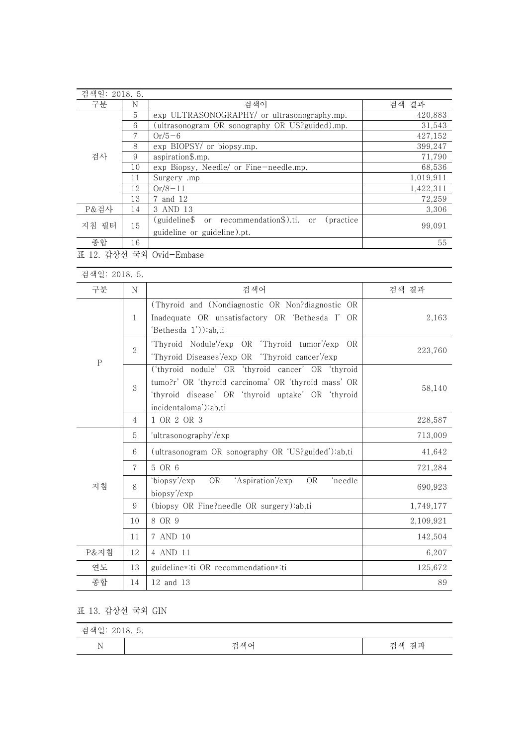| 검색일: 2018. 5. |    |                                                        |           |
|---------------|----|--------------------------------------------------------|-----------|
| 구분            | N  | 검색어                                                    | 검색 결과     |
|               | 5  | exp ULTRASONOGRAPHY/ or ultrasonography.mp.            | 420,883   |
|               | 6  | (ultrasonogram OR sonography OR US?guided).mp.         | 31,543    |
|               |    | $Or/5-6$                                               | 427,152   |
|               | 8  | exp BIOPSY/ or biopsy.mp.                              | 399,247   |
| 검사            | 9  | aspiration\$.mp.                                       | 71,790    |
|               | 10 | exp Biopsy, Needle/ or Fine-needle.mp.                 | 68,536    |
|               | 11 | Surgery .mp                                            | 1,019,911 |
|               | 12 | $Or/8-11$                                              | 1,422,311 |
|               | 13 | 7 and 12                                               | 72,259    |
| P&검사          | 14 | 3 AND 13                                               | 3,306     |
| 지침 필터         | 15 | (guideline\$ or recommendation\$).ti. or<br>(practice) |           |
|               |    | guideline or guideline).pt.                            | 99,091    |
| 종합            | 16 |                                                        | 55        |
|               |    | 표 12. 갑상선 국외 Ovid-Embase                               |           |

| 검색일: 2018. 5. |                |                                                                                                                                                                                        |           |
|---------------|----------------|----------------------------------------------------------------------------------------------------------------------------------------------------------------------------------------|-----------|
| 구분            | N              | 검색어                                                                                                                                                                                    | 검색 결과     |
| $\, {\bf P}$  | $\mathbf{1}$   | (Thyroid and (Nondiagnostic OR Non?diagnostic OR<br>Inadequate OR unsatisfactory OR 'Bethesda I' OR<br>'Bethesda 1')):ab,ti                                                            | 2,163     |
|               | $\overline{2}$ | 'Thyroid Nodule'/exp OR 'Thyroid tumor'/exp<br>OR<br>'Thyroid Diseases'/exp OR 'Thyroid cancer'/exp                                                                                    | 223,760   |
|               | 3              | ('thyroid nodule' OR 'thyroid cancer' OR 'thyroid<br>tumo?r' OR 'thyroid carcinoma' OR 'thyroid mass' OR<br>'thyroid disease' OR 'thyroid uptake' OR 'thyroid<br>incidentaloma'):ab,ti | 58,140    |
|               | 4              | 1 OR 2 OR 3                                                                                                                                                                            | 228,587   |
|               | 5              | 'ultrasonography'/exp                                                                                                                                                                  | 713,009   |
|               | 6              | (ultrasonogram OR sonography OR 'US?guided'):ab,ti                                                                                                                                     | 41,642    |
|               | $\mathcal{I}$  | 5 OR 6                                                                                                                                                                                 | 721,284   |
| 지침            | 8              | 'biopsy'/exp<br>'Aspiration'/exp<br><b>OR</b><br><b>OR</b><br>'needle<br>biopsy'/exp                                                                                                   | 690,923   |
|               | 9              | (biopsy OR Fine?needle OR surgery):ab,ti                                                                                                                                               | 1,749,177 |
|               | 10             | 8 OR 9                                                                                                                                                                                 | 2,109,921 |
|               | 11             | 7 AND 10                                                                                                                                                                               | 142,504   |
| P&지침          | 12             | 4 AND 11                                                                                                                                                                               | 6,207     |
| 연도            | 13             | guideline*:ti OR recommendation*:ti                                                                                                                                                    | 125,672   |
| 종합            | 14             | 12 and 13                                                                                                                                                                              | 89        |

# 표 13. 갑상선 국외 GIN

| 검색일: 2018. 5. |     |                |  |  |
|---------------|-----|----------------|--|--|
| $\rm N$       | 검색어 | 결과<br>거 색<br>≃ |  |  |